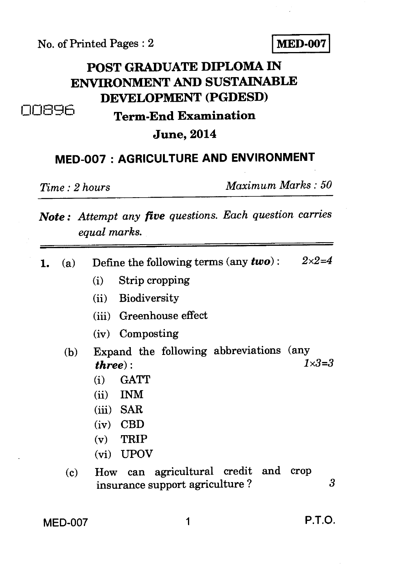No. of Printed Pages : 2 **MED-007** 

## **POST GRADUATE DIPLOMA IN ENVIRONMENT AND SUSTAINABLE DEVELOPMENT (PGDESD)**  006q6 **Term-End Examination**

## **June, 2014**

## **MED-007 : AGRICULTURE AND ENVIRONMENT**

*Time : 2 hours Maximum Marks : 50* 

## *Note : Attempt any five questions. Each question carries equal marks.*

1. (a) Define the following terms (any  $two$ ):  $2 \times 2 = 4$ (i) Strip cropping (ii) Biodiversity (iii) Greenhouse effect (iv) Composting (b) Expand the following abbreviations (any  $\mathbf{H}_{\text{F}}$   $\mathbf{H}_{\text{F}}$   $\mathbf{H}_{\text{F}}$   $\mathbf{H}_{\text{F}}$   $\mathbf{H}_{\text{F}}$   $\mathbf{H}_{\text{F}}$   $\mathbf{H}_{\text{F}}$   $\mathbf{H}_{\text{F}}$   $\mathbf{H}_{\text{F}}$   $\mathbf{H}_{\text{F}}$   $\mathbf{H}_{\text{F}}$   $\mathbf{H}_{\text{F}}$   $\mathbf{H}_{\text$ *three*): (i) GATT (ii) INM (iii) SAR (iv) CBD (v) TRIP (vi) UPOV (c) How can agricultural credit and crop insurance support agriculture ? 3

MED-007 1 P.T.O.